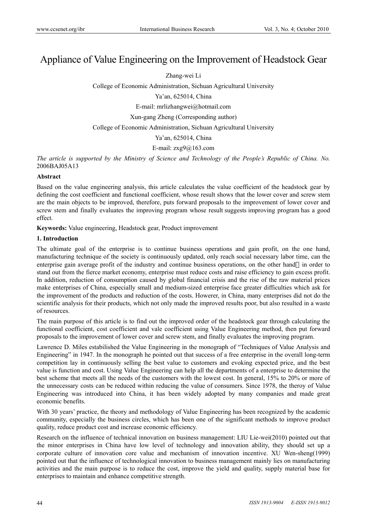# Appliance of Value Engineering on the Improvement of Headstock Gear

Zhang-wei Li

College of Economic Administration, Sichuan Agricultural University

Ya'an, 625014, China

E-mail: mrlizhangwei@hotmail.com

Xun-gang Zheng (Corresponding author)

College of Economic Administration, Sichuan Agricultural University

Ya'an, 625014, China

E-mail:  $z \times g9@163$ .com

*The article is supported by the Ministry of Science and Technology of the People's Republic of China. No.* 2006BAJ05A13

#### **Abstract**

Based on the value engineering analysis, this article calculates the value coefficient of the headstock gear by defining the cost coefficient and functional coefficient, whose result shows that the lower cover and screw stem are the main objects to be improved, therefore, puts forward proposals to the improvement of lower cover and screw stem and finally evaluates the improving program whose result suggests improving program has a good effect.

**Keywords:** Value engineering, Headstock gear, Product improvement

## **1. Introduction**

The ultimate goal of the enterprise is to continue business operations and gain profit, on the one hand, manufacturing technique of the society is continuously updated, only reach social necessary labor time, can the enterprise gain average profit of the industry and continue business operations, on the other hand in order to stand out from the fierce market economy, enterprise must reduce costs and raise efficiency to gain excess profit. In addition, reduction of consumption caused by global financial crisis and the rise of the raw material prices make enterprises of China, especially small and medium-sized enterprise face greater difficulties which ask for the improvement of the products and reduction of the costs. Howerer, in China, many enterprises did not do the scientific analysis for their products, which not only made the improved results poor, but also resulted in a waste of resources.

The main purpose of this article is to find out the improved order of the headstock gear through calculating the functional coefficient, cost coefficient and vale coefficient using Value Engineering method, then put forward proposals to the improvement of lower cover and screw stem, and finally evaluates the improving program.

Lawrence D. Miles estabilished the Value Engineering in the monograph of "Techniques of Value Analysis and Engineering" in 1947. In the monograph he pointed out that success of a free enterprise in the overall long-term competition lay in continuously selling the best value to customers and evoking expected price, and the best value is function and cost. Using Value Engineering can help all the departments of a enterprise to determine the best scheme that meets all the needs of the customers with the lowest cost. In general, 15% to 20% or more of the unnecessary costs can be reduced within reducing the value of consumers. Since 1978, the theroy of Value Engineering was introduced into China, it has been widely adopted by many companies and made great economic benefits.

With 30 years' practice, the theory and methodology of Value Engineering has been recognized by the academic community, especially the business circles, which has been one of the significant methods to improve product quality, reduce product cost and increase economic efficiency.

Research on the influence of technical innovation on business management: LIU Lie-wei(2010) pointed out that the minor enterprises in China have low level of technology and innovation ability, they should set up a corporate culture of innovation core value and mechanism of innovation incentive. XU Wen-sheng(1999) pointed out that the influence of technological innovation to business management mainly lies on manufacturing activities and the main purpose is to reduce the cost, improve the yield and quality, supply material base for enterprises to maintain and enhance competitive strength.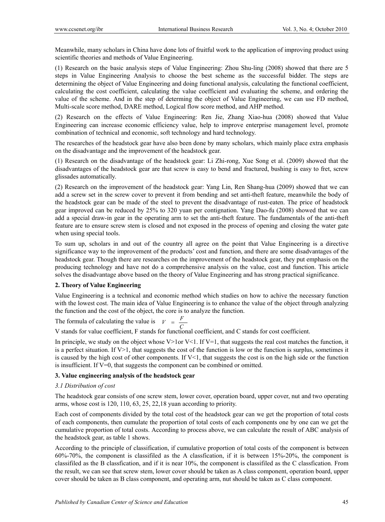Meanwhile, many scholars in China have done lots of fruitful work to the application of improving product using scientific theories and methods of Value Engineering.

(1) Research on the basic analysis steps of Value Engineering: Zhou Shu-ling (2008) showed that there are 5 steps in Value Engineering Analysis to choose the best scheme as the successful bidder. The steps are determining the object of Value Engineering and doing functional analysis, calculating the functional coefficient, calculating the cost coefficient, calculating the value coefficient and evaluating the scheme, and ordering the value of the scheme. And in the step of determing the object of Value Engineering, we can use FD method, Multi-scale score method, DARE method, Logical flow score method, and AHP method.

(2) Research on the effects of Value Engineering: Ren Jie, Zhang Xiao-hua (2008) showed that Value Engineering can increase economic efficiency value, help to improve enterprise management level, promote combination of technical and economic, soft technology and hard technology.

The researches of the headstock gear have also been done by many scholars, which mainly place extra emphasis on the disadvantage and the improvement of the headstock gear.

(1) Research on the disadvantage of the headstock gear: Li Zhi-rong, Xue Song et al. (2009) showed that the disadvantages of the headstock gear are that screw is easy to bend and fractured, bushing is easy to fret, screw glissades automatically.

(2) Research on the improvement of the headstock gear: Yang Lin, Ren Shang-hua (2009) showed that we can add a screw set in the screw cover to prevent it from bending and set anti-theft feature, meanwhile the body of the headstock gear can be made of the steel to prevent the disadvantage of rust-eaten. The price of headstock gear improved can be reduced by 25% to 320 yuan per contignation. Yang Dao-fu (2008) showed that we can add a special draw-in gear in the operating arm to set the anti-theft feature. The fundamentals of the anti-theft feature are to ensure screw stem is closed and not exposed in the process of opening and closing the water gate when using special tools.

To sum up, scholars in and out of the country all agree on the point that Value Engineering is a directive significance way to the improvement of the products' cost and function, and there are some disadvantages of the headstock gear. Though there are researches on the improvement of the headstock gear, they put emphasis on the producing technology and have not do a comprehensive analysis on the value, cost and function. This article solves the disadvantage above based on the theory of Value Engineering and has strong practical significance.

## **2. Theory of Value Engineering**

Value Engineering is a technical and economic method which studies on how to achive the necessary function with the lowest cost. The main idea of Value Engineering is to enhance the value of the object through analyzing the function and the cost of the object, the core is to analyze the function.

The formula of calculating the value is  $V = \frac{F}{C}$ 

V stands for value coefficient, F stands for functional coefficient, and C stands for cost coefficient.

In principle, we study on the object whose V>1or V<1. If V=1, that suggests the real cost matches the function, it is a perfect situation. If V>1, that suggests the cost of the function is low or the function is surplus, sometimes it is caused by the high cost of other components. If  $V<1$ , that suggests the cost is on the high side or the function is insufficient. If V=0, that suggests the component can be combined or omitted.

#### **3. Value engineering analysis of the headstock gear**

#### *3.1 Distribution of cost*

The headstock gear consists of one screw stem, lower cover, operation board, upper cover, nut and two operating arms, whose cost is 120, 110, 63, 25, 22,18 yuan according to priority.

Each cost of components divided by the total cost of the headstock gear can we get the proportion of total costs of each components, then cumulate the proportion of total costs of each components one by one can we get the cumulative proportion of total costs. According to process above, we can calculate the result of ABC analysis of the headstock gear, as table 1 shows.

According to the principle of classification, if cumulative proportion of total costs of the component is between 60%-70%, the component is classifiled as the A classfication, if it is between 15%-20%, the component is classifiled as the B classfication, and if it is near 10%, the component is classifiled as the C classfication. From the result, we can see that screw stem, lower cover should be taken as A class component, operation board, upper cover should be taken as B class component, and operating arm, nut should be taken as C class component.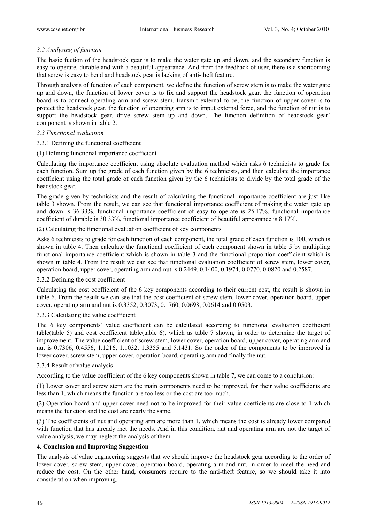## *3.2 Analyzing of function*

The basic fuction of the headstock gear is to make the water gate up and down, and the secondary function is easy to operate, durable and with a beautiful appearance. And from the feedback of user, there is a shortcoming that screw is easy to bend and headstock gear is lacking of anti-theft feature.

Through analysis of function of each component, we define the function of screw stem is to make the water gate up and down, the function of lower cover is to fix and support the headstock gear, the function of operation board is to connect operating arm and screw stem, transmit external force, the function of upper cover is to protect the headstock gear, the function of operating arm is to imput external force, and the function of nut is to support the headstock gear, drive screw stem up and down. The function definition of headstock gear' component is shown in table 2.

#### *3.3 Functional evaluation*

3.3.1 Defining the functional coefficient

#### (1) Defining functional importance coefficient

Calculating the importance coefficient using absolute evaluation method which asks 6 technicists to grade for each function. Sum up the grade of each function given by the 6 technicists, and then calculate the importance coefficient using the total grade of each function given by the 6 technicists to divide by the total grade of the headstock gear.

The grade given by technicists and the result of calculating the functional importance coefficient are just like table 3 shown. From the result, we can see that functional importance coefficient of making the water gate up and down is 36.33%, functional importance coefficient of easy to operate is 25.17%, functional importance coefficient of durable is 30.33%, functional importance coefficient of beautiful appearance is 8.17%.

(2) Calculating the functional evaluation coefficient of key components

Asks 6 technicists to grade for each function of each component, the total grade of each function is 100, which is shown in table 4. Then calculate the functional coefficient of each component shown in table 5 by multipling functional importance coefficient which is shown in table 3 and the functional proportion coefficient which is shown in table 4. From the result we can see that functional evaluation coefficient of screw stem, lower cover, operation board, upper cover, operating arm and nut is 0.2449, 0.1400, 0.1974, 0.0770, 0.0820 and 0.2587.

#### 3.3.2 Defining the cost coefficient

Calculating the cost coefficient of the 6 key components according to their current cost, the result is shown in table 6. From the result we can see that the cost coefficient of screw stem, lower cover, operation board, upper cover, operating arm and nut is 0.3352, 0.3073, 0.1760, 0.0698, 0.0614 and 0.0503.

## 3.3.3 Calculating the value coefficient

The 6 key components' value coefficient can be calculated according to functional evaluation coefficient table(table 5) and cost coefficient table(table 6), which as table 7 shown, in order to determine the target of improvement. The value coefficient of screw stem, lower cover, operation board, upper cover, operating arm and nut is 0.7306, 0.4556, 1.1216, 1.1032, 1.3355 and 5.1431. So the order of the components to be improved is lower cover, screw stem, upper cover, operation board, operating arm and finally the nut.

#### 3.3.4 Result of value analysis

According to the value coefficient of the 6 key components shown in table 7, we can come to a conclusion:

(1) Lower cover and screw stem are the main components need to be improved, for their value coefficients are less than 1, which means the function are too less or the cost are too much.

(2) Operation board and upper cover need not to be improved for their value coefficients are close to 1 which means the function and the cost are nearly the same.

(3) The coefficients of nut and operating arm are more than 1, which means the cost is already lower compared with function that has already met the needs. And in this condition, nut and operating arm are not the target of value analysis, we may neglect the analysis of them.

#### **4. Conclusion and Improving Suggestion**

The analysis of value engineering suggests that we should improve the headstock gear according to the order of lower cover, screw stem, upper cover, operation board, operating arm and nut, in order to meet the need and reduce the cost. On the other hand, consumers require to the anti-theft feature, so we should take it into consideration when improving.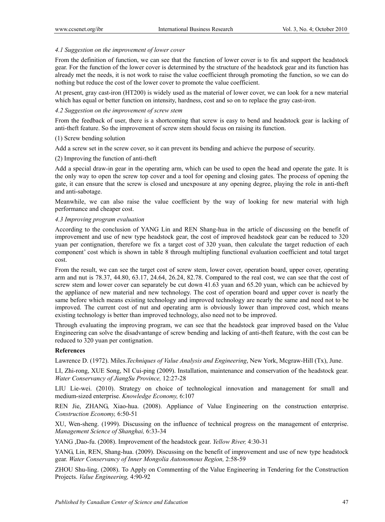#### *4.1 Suggestion on the improvement of lower cover*

From the definition of function, we can see that the function of lower cover is to fix and support the headstock gear. For the function of the lower cover is determined by the structure of the headstock gear and its function has already met the needs, it is not work to raise the value coefficient through promoting the function, so we can do nothing but reduce the cost of the lower cover to promote the value coefficient.

At present, gray cast-iron (HT200) is widely used as the material of lower cover, we can look for a new material which has equal or better function on intensity, hardness, cost and so on to replace the gray cast-iron.

## *4.2 Suggestion on the improvement of screw stem*

From the feedback of user, there is a shortcoming that screw is easy to bend and headstock gear is lacking of anti-theft feature. So the improvement of screw stem should focus on raising its function.

(1) Screw bending solution

Add a screw set in the screw cover, so it can prevent its bending and achieve the purpose of security.

(2) Improving the function of anti-theft

Add a special draw-in gear in the operating arm, which can be used to open the head and operate the gate. It is the only way to open the screw top cover and a tool for opening and closing gates. The process of opening the gate, it can ensure that the screw is closed and unexposure at any opening degree, playing the role in anti-theft and anti-sabotage.

Meanwhile, we can also raise the value coefficient by the way of looking for new material with high performance and cheaper cost.

#### *4.3 Improving program evaluation*

According to the conclusion of YANG Lin and REN Shang-hua in the article of discussing on the benefit of improvement and use of new type headstock gear, the cost of improved headstock gear can be reduced to 320 yuan per contignation, therefore we fix a target cost of 320 yuan, then calculate the target reduction of each component' cost which is shown in table 8 through multipling functional evaluation coefficient and total target cost.

From the result, we can see the target cost of screw stem, lower cover, operation board, upper cover, operating arm and nut is 78.37, 44.80, 63.17, 24.64, 26.24, 82.78. Compared to the real cost, we can see that the cost of screw stem and lower cover can separately be cut down 41.63 yuan and 65.20 yuan, which can be achieved by the appliance of new material and new technology. The cost of operation board and upper cover is nearly the same before which means existing technology and improved technology are nearly the same and need not to be improved. The current cost of nut and operating arm is obviously lower than improved cost, which means existing technology is better than improved technology, also need not to be improved.

Through evaluating the improving program, we can see that the headstock gear improved based on the Value Engineering can solve the disadvantange of screw bending and lacking of anti-theft feature, with the cost can be reduced to 320 yuan per contignation.

#### **References**

Lawrence D. (1972). Miles.*Techniques of Value Analysis and Engineering*, New York, Mcgraw-Hill (Tx), June.

LI, Zhi-rong, XUE Song, NI Cui-ping (2009). Installation, maintenance and conservation of the headstock gear. *Water Conservancy of JiangSu Province,* 12:27-28

LIU Lie-wei. (2010). Strategy on choice of technological innovation and management for small and medium-sized enterprise. *Knowledge Economy,* 6:107

REN Jie, ZHANG, Xiao-hua. (2008). Appliance of Value Engineering on the construction enterprise. *Construction Economy,* 6:50-51

XU, Wen-sheng. (1999). Discussing on the influence of technical progress on the management of enterprise. *Management Science of Shanghai,* 6:33-34

YANG ,Dao-fu. (2008). Improvement of the headstock gear. *Yellow River,* 4:30-31

YANG, Lin, REN, Shang-hua. (2009). Discussing on the benefit of improvement and use of new type headstock gear. *Water Conservancy of Inner Mongolia Autonomous Region,* 2:58-59

ZHOU Shu-ling. (2008). To Apply on Commenting of the Value Engineering in Tendering for the Construction Projects. *Value Engineering,* 4:90-92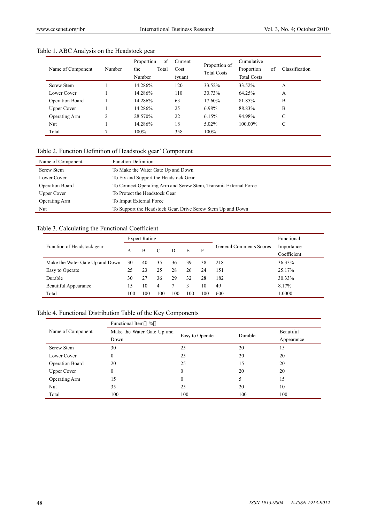| Name of Component      | Number         | of<br>Proportion<br>Total<br>the<br>Number | Current<br>Cost<br>(yuan) | Proportion of<br><b>Total Costs</b> | Cumulative<br>Proportion<br><b>Total Costs</b> | Classification<br>of |
|------------------------|----------------|--------------------------------------------|---------------------------|-------------------------------------|------------------------------------------------|----------------------|
| <b>Screw Stem</b>      |                | 14.286%                                    | 120                       | 33.52%                              | 33.52%                                         | А                    |
| Lower Cover            |                | 14.286%                                    | 110                       | 30.73%                              | 64.25%                                         | А                    |
| <b>Operation Board</b> |                | 14.286%                                    | 63                        | 17.60%                              | 81.85%                                         | B                    |
| <b>Upper Cover</b>     |                | 14.286%                                    | 25                        | 6.98%                               | 88.83%                                         | B                    |
| <b>Operating Arm</b>   | $\overline{c}$ | 28.570%                                    | 22                        | 6.15%                               | 94.98%                                         | C                    |
| Nut                    |                | 14.286%                                    | 18                        | 5.02%                               | $100.00\%$                                     | С                    |
| Total                  |                | 100%                                       | 358                       | $100\%$                             |                                                |                      |

## Table 1. ABC Analysis on the Headstock gear

## Table 2. Function Definition of Headstock gear' Component

| Name of Component  | <b>Function Definition</b>                                       |
|--------------------|------------------------------------------------------------------|
| <b>Screw Stem</b>  | To Make the Water Gate Up and Down                               |
| Lower Cover        | To Fix and Support the Headstock Gear                            |
| Operation Board    | To Connect Operating Arm and Screw Stem, Transmit External Force |
| <b>Upper Cover</b> | To Protect the Headstock Gear                                    |
| Operating Arm      | To Imput External Force                                          |
| Nut                | To Support the Headstock Gear, Drive Screw Stem Up and Down      |

## Table 3. Calculating the Functional Coefficient

|                                 | <b>Expert Rating</b> |     |     |     |     |     |                                | Functional  |
|---------------------------------|----------------------|-----|-----|-----|-----|-----|--------------------------------|-------------|
| Function of Headstock gear      |                      |     |     |     |     | F   | <b>General Comments Scores</b> | Importance  |
|                                 | В<br>A               |     | C   | D   | E   |     |                                | Coefficient |
| Make the Water Gate Up and Down | 30                   | 40  | 35  | 36  | 39  | 38  | 218                            | 36.33%      |
| Easy to Operate                 | 25                   | 23  | 25  | 28  | 26  | 24  | 151                            | 25.17%      |
| Durable                         | 30                   | 27  | 36  | 29  | 32  | 28  | 182                            | 30.33%      |
| <b>Beautiful Appearance</b>     | 15                   | 10  | 4   |     | 3   | 10  | 49                             | 8.17%       |
| Total                           | 100                  | 100 | 100 | 100 | 100 | 100 | 600                            | 1.0000      |

## Table 4. Functional Distribution Table of the Key Components

|                      | Functional Item %          |                 |            |           |  |  |  |  |  |
|----------------------|----------------------------|-----------------|------------|-----------|--|--|--|--|--|
| Name of Component    | Make the Water Gate Up and |                 | Durable    | Beautiful |  |  |  |  |  |
|                      | Down                       | Easy to Operate | Appearance |           |  |  |  |  |  |
| <b>Screw Stem</b>    | 30                         | 25              | 20         | 15        |  |  |  |  |  |
| Lower Cover          | $\mathbf{0}$               | 25              | 20         | 20        |  |  |  |  |  |
| Operation Board      | 20                         | 25              | 15         | 20        |  |  |  |  |  |
| <b>Upper Cover</b>   | $\mathbf{0}$               | 0               | 20         | 20        |  |  |  |  |  |
| <b>Operating Arm</b> | 15                         | $\theta$        |            | 15        |  |  |  |  |  |
| Nut                  | 35                         | 25              | 20         | 10        |  |  |  |  |  |
| Total                | 100                        | 100             | 100        | 100       |  |  |  |  |  |